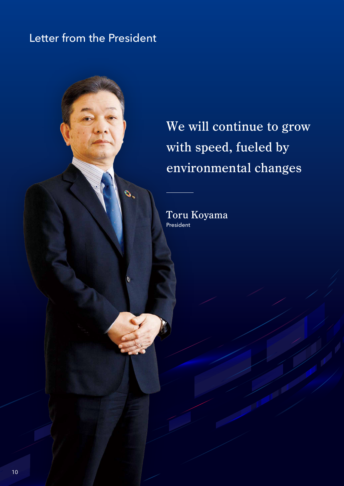# Letter from the President

We will continue to grow with speed, fueled by environmental changes

President Toru Koyama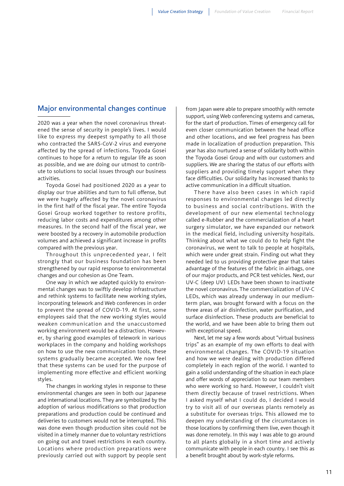#### Major environmental changes continue

2020 was a year when the novel coronavirus threatened the sense of security in people's lives. I would like to express my deepest sympathy to all those who contracted the SARS-CoV-2 virus and everyone affected by the spread of infections. Toyoda Gosei continues to hope for a return to regular life as soon as possible, and we are doing our utmost to contribute to solutions to social issues through our business activities.

Toyoda Gosei had positioned 2020 as a year to display our true abilities and turn to full offense, but we were hugely affected by the novel coronavirus in the first half of the fiscal year. The entire Toyoda Gosei Group worked together to restore profits, reducing labor costs and expenditures among other measures. In the second half of the fiscal year, we were boosted by a recovery in automobile production volumes and achieved a significant increase in profits compared with the previous year.

Throughout this unprecedented year, I felt strongly that our business foundation has been strengthened by our rapid response to environmental changes and our cohesion as One Team.

One way in which we adapted quickly to environmental changes was to swiftly develop infrastructure and rethink systems to facilitate new working styles, incorporating telework and Web conferences in order to prevent the spread of COVID-19. At first, some employees said that the new working styles would weaken communication and the unaccustomed working environment would be a distraction. However, by sharing good examples of telework in various workplaces in the company and holding workshops on how to use the new communication tools, these systems gradually became accepted. We now feel that these systems can be used for the purpose of implementing more effective and efficient working styles.

The changes in working styles in response to these environmental changes are seen in both our Japanese and international locations. They are symbolized by the adoption of various modifications so that production preparations and production could be continued and deliveries to customers would not be interrupted. This was done even though production sites could not be visited in a timely manner due to voluntary restrictions on going out and travel restrictions in each country. Locations where production preparations were previously carried out with support by people sent

from Japan were able to prepare smoothly with remote support, using Web conferencing systems and cameras, for the start of production. Times of emergency call for even closer communication between the head office and other locations, and we feel progress has been made in localization of production preparation. This year has also nurtured a sense of solidarity both within the Toyoda Gosei Group and with our customers and suppliers. We are sharing the status of our efforts with suppliers and providing timely support when they face difficulties. Our solidarity has increased thanks to active communication in a difficult situation.

There have also been cases in which rapid responses to environmental changes led directly to business and social contributions. With the development of our new elemental technology called e-Rubber and the commercialization of a heart surgery simulator, we have expanded our network in the medical field, including university hospitals. Thinking about what we could do to help fight the coronavirus, we went to talk to people at hospitals, which were under great strain. Finding out what they needed led to us providing protective gear that takes advantage of the features of the fabric in airbags, one of our major products, and PCR test vehicles. Next, our UV-C (deep UV) LEDs have been shown to inactivate the novel coronavirus. The commercialization of UV-C LEDs, which was already underway in our mediumterm plan, was brought forward with a focus on the three areas of air disinfection, water purification, and surface disinfection. These products are beneficial to the world, and we have been able to bring them out with exceptional speed.

Next, let me say a few words about "virtual business trips" as an example of my own efforts to deal with environmental changes. The COVID-19 situation and how we were dealing with production differed completely in each region of the world. I wanted to gain a solid understanding of the situation in each place and offer words of appreciation to our team members who were working so hard. However, I couldn't visit them directly because of travel restrictions. When I asked myself what I could do, I decided I would try to visit all of our overseas plants remotely as a substitute for overseas trips. This allowed me to deepen my understanding of the circumstances in those locations by confirming them live, even though it was done remotely. In this way I was able to go around to all plants globally in a short time and actively communicate with people in each country. I see this as a benefit brought about by work-style reforms.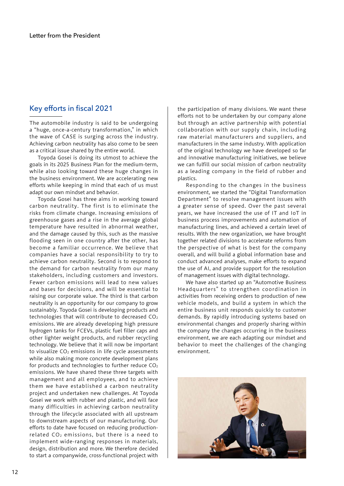#### Key efforts in fiscal 2021

The automobile industry is said to be undergoing a "huge, once-a-century transformation," in which the wave of CASE is surging across the industry. Achieving carbon neutrality has also come to be seen as a critical issue shared by the entire world.

Toyoda Gosei is doing its utmost to achieve the goals in its 2025 Business Plan for the medium-term, while also looking toward these huge changes in the business environment. We are accelerating new efforts while keeping in mind that each of us must adapt our own mindset and behavior.

Toyoda Gosei has three aims in working toward carbon neutrality. The first is to eliminate the risks from climate change. Increasing emissions of greenhouse gases and a rise in the average global temperature have resulted in abnormal weather, and the damage caused by this, such as the massive flooding seen in one country after the other, has become a familiar occurrence. We believe that companies have a social responsibility to try to achieve carbon neutrality. Second is to respond to the demand for carbon neutrality from our many stakeholders, including customers and investors. Fewer carbon emissions will lead to new values and bases for decisions, and will be essential to raising our corporate value. The third is that carbon neutrality is an opportunity for our company to grow sustainably. Toyoda Gosei is developing products and technologies that will contribute to decreased CO2 emissions. We are already developing high pressure hydrogen tanks for FCEVs, plastic fuel filler caps and other lighter weight products, and rubber recycling technology. We believe that it will now be important to visualize  $CO<sub>2</sub>$  emissions in life cycle assessments while also making more concrete development plans for products and technologies to further reduce  $CO<sub>2</sub>$ emissions. We have shared these three targets with management and all employees, and to achieve them we have established a carbon neutrality project and undertaken new challenges. At Toyoda Gosei we work with rubber and plastic, and will face many difficulties in achieving carbon neutrality through the lifecycle associated with all upstream to downstream aspects of our manufacturing. Our efforts to date have focused on reducing productionrelated  $CO<sub>2</sub>$  emissions, but there is a need to implement wide-ranging responses in materials, design, distribution and more. We therefore decided to start a companywide, cross-functional project with

the participation of many divisions. We want these efforts not to be undertaken by our company alone but through an active partnership with potential collaboration with our supply chain, including raw material manufacturers and suppliers, and manufacturers in the same industry. With application of the original technology we have developed so far and innovative manufacturing initiatives, we believe we can fulfill our social mission of carbon neutrality as a leading company in the field of rubber and plastics.

Responding to the changes in the business environment, we started the "Digital Transformation Department" to resolve management issues with a greater sense of speed. Over the past several years, we have increased the use of IT and IoT in business process improvements and automation of manufacturing lines, and achieved a certain level of results. With the new organization, we have brought together related divisions to accelerate reforms from the perspective of what is best for the company overall, and will build a global information base and conduct advanced analyses, make efforts to expand the use of AI, and provide support for the resolution of management issues with digital technology.

We have also started up an "Automotive Business Headquarters" to strengthen coordination in activities from receiving orders to production of new vehicle models, and build a system in which the entire business unit responds quickly to customer demands. By rapidly introducing systems based on environmental changes and properly sharing within the company the changes occurring in the business environment, we are each adapting our mindset and behavior to meet the challenges of the changing environment.